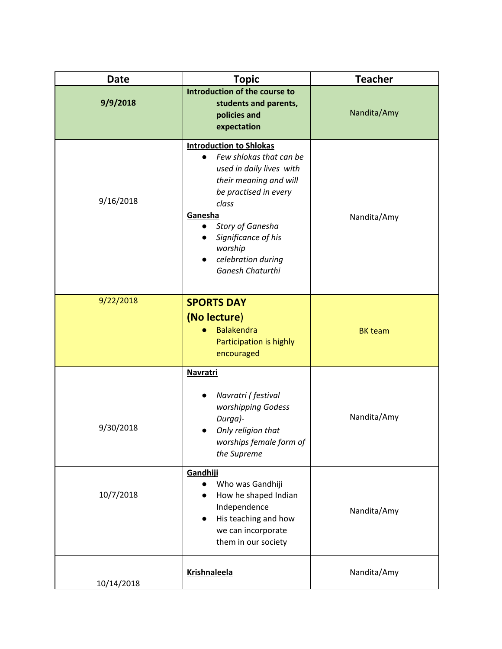| <b>Date</b> | <b>Topic</b>                                                                                                                                                                                                                                                                                        | <b>Teacher</b> |
|-------------|-----------------------------------------------------------------------------------------------------------------------------------------------------------------------------------------------------------------------------------------------------------------------------------------------------|----------------|
| 9/9/2018    | Introduction of the course to<br>students and parents,<br>policies and<br>expectation                                                                                                                                                                                                               | Nandita/Amy    |
| 9/16/2018   | <b>Introduction to Shlokas</b><br>Few shlokas that can be<br>$\bullet$<br>used in daily lives with<br>their meaning and will<br>be practised in every<br>class<br>Ganesha<br>Story of Ganesha<br>$\bullet$<br>Significance of his<br>worship<br>celebration during<br>$\bullet$<br>Ganesh Chaturthi | Nandita/Amy    |
| 9/22/2018   | <b>SPORTS DAY</b><br>(No lecture)<br><b>Balakendra</b><br>Participation is highly<br>encouraged                                                                                                                                                                                                     | <b>BK</b> team |
| 9/30/2018   | <b>Navratri</b><br>Navratri (festival<br>worshipping Godess<br>Durga)-<br>Only religion that<br>worships female form of<br>the Supreme<br>Gandhiji                                                                                                                                                  | Nandita/Amy    |
| 10/7/2018   | Who was Gandhiji<br>How he shaped Indian<br>$\bullet$<br>Independence<br>His teaching and how<br>$\bullet$<br>we can incorporate<br>them in our society                                                                                                                                             | Nandita/Amy    |
| 10/14/2018  | <b>Krishnaleela</b>                                                                                                                                                                                                                                                                                 | Nandita/Amy    |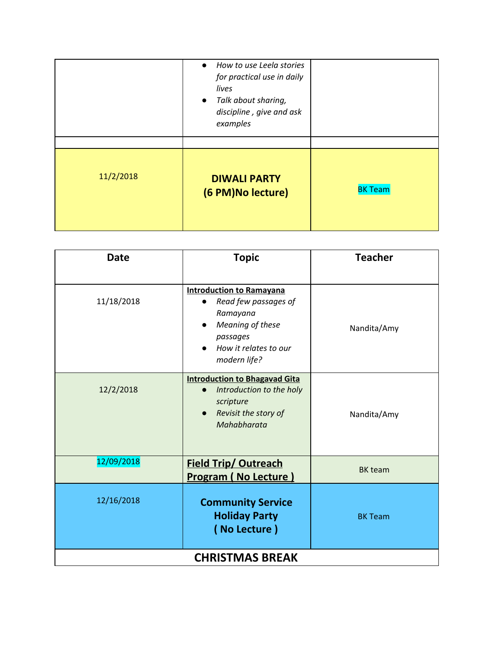|           | • How to use Leela stories<br>for practical use in daily<br>lives<br>• Talk about sharing,<br>discipline, give and ask<br>examples |                |
|-----------|------------------------------------------------------------------------------------------------------------------------------------|----------------|
| 11/2/2018 | <b>DIWALI PARTY</b><br>(6 PM)No lecture)                                                                                           | <b>BK Team</b> |

| <b>Date</b>            | <b>Topic</b>                                                                                                                                 | <b>Teacher</b> |
|------------------------|----------------------------------------------------------------------------------------------------------------------------------------------|----------------|
| 11/18/2018             | <b>Introduction to Ramayana</b><br>Read few passages of<br>Ramayana<br>Meaning of these<br>passages<br>How it relates to our<br>modern life? | Nandita/Amy    |
| 12/2/2018              | <b>Introduction to Bhagavad Gita</b><br>Introduction to the holy<br>$\bullet$<br>scripture<br>Revisit the story of<br>Mahabharata            | Nandita/Amy    |
| 12/09/2018             | <b>Field Trip/ Outreach</b><br><b>Program (No Lecture)</b>                                                                                   | <b>BK</b> team |
| 12/16/2018             | <b>Community Service</b><br><b>Holiday Party</b><br>(No Lecture)                                                                             | <b>BK Team</b> |
| <b>CHRISTMAS BREAK</b> |                                                                                                                                              |                |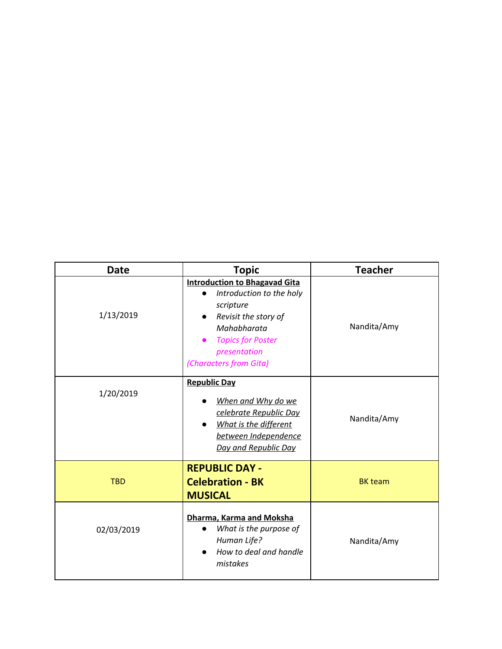| <b>Date</b> | <b>Topic</b>                                                                                                                                                                               | <b>Teacher</b> |
|-------------|--------------------------------------------------------------------------------------------------------------------------------------------------------------------------------------------|----------------|
| 1/13/2019   | <b>Introduction to Bhagavad Gita</b><br>Introduction to the holy<br>scripture<br>Revisit the story of<br>Mahabharata<br><b>Topics for Poster</b><br>presentation<br>(Characters from Gita) | Nandita/Amy    |
| 1/20/2019   | <b>Republic Day</b><br>When and Why do we<br>celebrate Republic Day<br>What is the different<br>between Independence<br>Day and Republic Day                                               | Nandita/Amy    |
| <b>TBD</b>  | <b>REPUBLIC DAY -</b><br><b>Celebration - BK</b><br><b>MUSICAL</b>                                                                                                                         | <b>BK</b> team |
| 02/03/2019  | Dharma, Karma and Moksha<br>What is the purpose of<br>Human Life?<br>How to deal and handle<br>mistakes                                                                                    | Nandita/Amy    |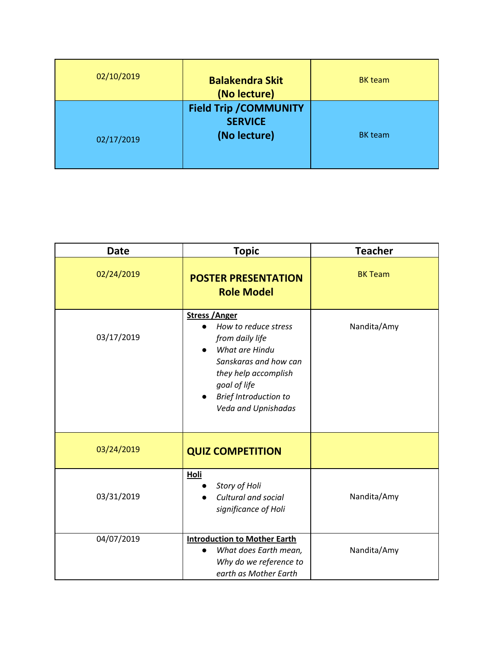| 02/10/2019 | <b>Balakendra Skit</b><br>(No lecture)                          | <b>BK</b> team |
|------------|-----------------------------------------------------------------|----------------|
| 02/17/2019 | <b>Field Trip / COMMUNITY</b><br><b>SERVICE</b><br>(No lecture) | <b>BK</b> team |

| <b>Date</b> | <b>Topic</b>                                                                                                                                                                                               | <b>Teacher</b> |
|-------------|------------------------------------------------------------------------------------------------------------------------------------------------------------------------------------------------------------|----------------|
| 02/24/2019  | <b>POSTER PRESENTATION</b><br><b>Role Model</b>                                                                                                                                                            | <b>BK Team</b> |
| 03/17/2019  | <b>Stress / Anger</b><br>How to reduce stress<br>from daily life<br>What are Hindu<br>Sanskaras and how can<br>they help accomplish<br>goal of life<br><b>Brief Introduction to</b><br>Veda and Upnishadas | Nandita/Amy    |
| 03/24/2019  | <b>QUIZ COMPETITION</b>                                                                                                                                                                                    |                |
| 03/31/2019  | <b>Holi</b><br>Story of Holi<br>Cultural and social<br>significance of Holi                                                                                                                                | Nandita/Amy    |
| 04/07/2019  | <b>Introduction to Mother Earth</b><br>What does Earth mean,<br>Why do we reference to<br>earth as Mother Earth                                                                                            | Nandita/Amy    |